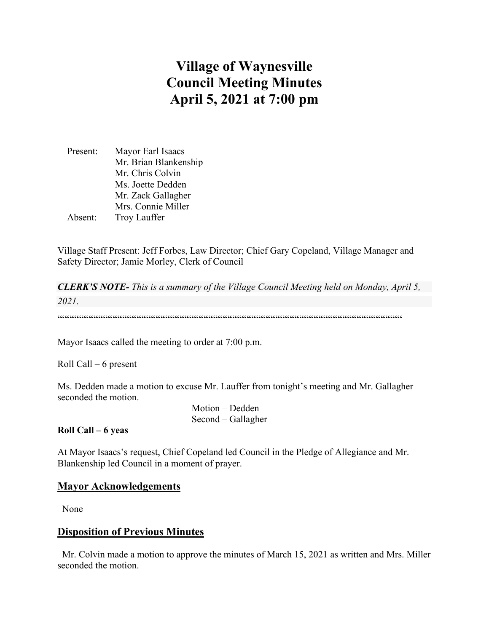# **Village of Waynesville Council Meeting Minutes April 5, 2021 at 7:00 pm**

| Present: | Mayor Earl Isaacs     |  |
|----------|-----------------------|--|
|          | Mr. Brian Blankenship |  |
|          | Mr. Chris Colvin      |  |
|          | Ms. Joette Dedden     |  |
|          | Mr. Zack Gallagher    |  |
|          | Mrs. Connie Miller    |  |
| Absent:  | <b>Troy Lauffer</b>   |  |

Village Staff Present: Jeff Forbes, Law Director; Chief Gary Copeland, Village Manager and Safety Director; Jamie Morley, Clerk of Council

*CLERK'S NOTE- This is a summary of the Village Council Meeting held on Monday, April 5, 2021.* 

 $\color{black} \textcolor{black}{\textcolor{black}{\mathcal{W}}\hspace{1.3cm}}\hspace{1.5cm} \textcolor{black}{\mathcal{W}}\hspace{1.3cm}\textcolor{black}{\mathcal{W}}\hspace{1.3cm}\textcolor{black}{\mathcal{W}}\hspace{1.3cm}\textcolor{black}{\mathcal{W}}\hspace{1.3cm}\textcolor{black}{\mathcal{W}}\hspace{1.3cm}\textcolor{black}{\mathcal{W}}\hspace{1.3cm}\textcolor{black}{\mathcal{W}}\hspace{1.3cm}\textcolor{black}{\mathcal{W}}\hspace{1.3cm}\textcolor{black}{\mathcal{W}}\hspace{1.3$ 

Mayor Isaacs called the meeting to order at 7:00 p.m.

Roll Call – 6 present

Ms. Dedden made a motion to excuse Mr. Lauffer from tonight's meeting and Mr. Gallagher seconded the motion.

> Motion – Dedden Second – Gallagher

#### **Roll Call – 6 yeas**

At Mayor Isaacs's request, Chief Copeland led Council in the Pledge of Allegiance and Mr. Blankenship led Council in a moment of prayer.

## **Mayor Acknowledgements**

None

## **Disposition of Previous Minutes**

 Mr. Colvin made a motion to approve the minutes of March 15, 2021 as written and Mrs. Miller seconded the motion.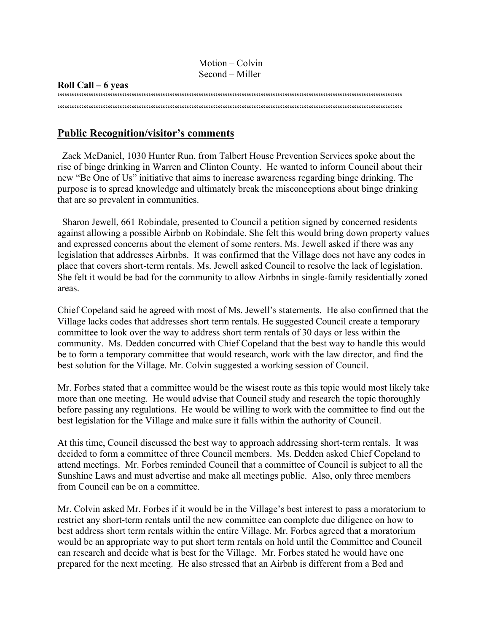|                    | $Motion - Colvin$ |
|--------------------|-------------------|
|                    | Second – Miller   |
| Roll Call – 6 yeas |                   |
|                    |                   |
|                    |                   |
|                    |                   |

## **Public Recognition/visitor's comments**

 Zack McDaniel, 1030 Hunter Run, from Talbert House Prevention Services spoke about the rise of binge drinking in Warren and Clinton County. He wanted to inform Council about their new "Be One of Us" initiative that aims to increase awareness regarding binge drinking. The purpose is to spread knowledge and ultimately break the misconceptions about binge drinking that are so prevalent in communities.

 Sharon Jewell, 661 Robindale, presented to Council a petition signed by concerned residents against allowing a possible Airbnb on Robindale. She felt this would bring down property values and expressed concerns about the element of some renters. Ms. Jewell asked if there was any legislation that addresses Airbnbs. It was confirmed that the Village does not have any codes in place that covers short-term rentals. Ms. Jewell asked Council to resolve the lack of legislation. She felt it would be bad for the community to allow Airbnbs in single-family residentially zoned areas.

Chief Copeland said he agreed with most of Ms. Jewell's statements. He also confirmed that the Village lacks codes that addresses short term rentals. He suggested Council create a temporary committee to look over the way to address short term rentals of 30 days or less within the community. Ms. Dedden concurred with Chief Copeland that the best way to handle this would be to form a temporary committee that would research, work with the law director, and find the best solution for the Village. Mr. Colvin suggested a working session of Council.

Mr. Forbes stated that a committee would be the wisest route as this topic would most likely take more than one meeting. He would advise that Council study and research the topic thoroughly before passing any regulations. He would be willing to work with the committee to find out the best legislation for the Village and make sure it falls within the authority of Council.

At this time, Council discussed the best way to approach addressing short-term rentals. It was decided to form a committee of three Council members. Ms. Dedden asked Chief Copeland to attend meetings. Mr. Forbes reminded Council that a committee of Council is subject to all the Sunshine Laws and must advertise and make all meetings public. Also, only three members from Council can be on a committee.

Mr. Colvin asked Mr. Forbes if it would be in the Village's best interest to pass a moratorium to restrict any short-term rentals until the new committee can complete due diligence on how to best address short term rentals within the entire Village. Mr. Forbes agreed that a moratorium would be an appropriate way to put short term rentals on hold until the Committee and Council can research and decide what is best for the Village. Mr. Forbes stated he would have one prepared for the next meeting. He also stressed that an Airbnb is different from a Bed and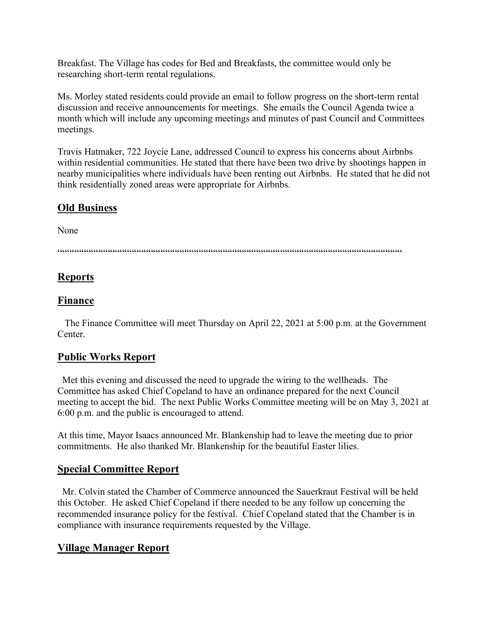Breakfast. The Village has codes for Bed and Breakfasts, the committee would only be researching short-term rental regulations.

Ms. Morley stated residents could provide an email to follow progress on the short-term rental discussion and receive announcements for meetings. She emails the Council Agenda twice a month which will include any upcoming meetings and minutes of past Council and Committees meetings.

Travis Hatmaker, 722 Joycie Lane, addressed Council to express his concerns about Airbnbs within residential communities. He stated that there have been two drive by shootings happen in nearby municipalities where individuals have been renting out Airbnbs. He stated that he did not think residentially zoned areas were appropriate for Airbnbs.

# **Old Business**

None

 $\hspace{1.5em} {\color{blue}{{\color{blue}{{\color{blue}{{\color{blue}{{\color{blue}{{\color{blue}{{\color{blue}{{\color{blue}{{\color{blue}{{\color{blue}{{\color{blue}{{\color{blue}{{\color{blue}{{\color{blue}{{\color{blue}{{\color{blue}{{\color{blue}{{\color{blue}{{\color{blue}{{\color{blue}{{\color{blue}{{\color{blue}{{\color{blue}{{\color{blue}{{\color{blue}{{\color{blue}{{\color{blue}{{\color{blue}{{\color{blue}{{\color{blue}{{\color{blue}{{\color{blue}{{\color{blue}{{\color{blue}{{\color{blue}{{\$ 

# **Reports**

## **Finance**

 The Finance Committee will meet Thursday on April 22, 2021 at 5:00 p.m. at the Government Center.

# **Public Works Report**

 Met this evening and discussed the need to upgrade the wiring to the wellheads. The Committee has asked Chief Copeland to have an ordinance prepared for the next Council meeting to accept the bid. The next Public Works Committee meeting will be on May 3, 2021 at 6:00 p.m. and the public is encouraged to attend.

At this time, Mayor Isaacs announced Mr. Blankenship had to leave the meeting due to prior commitments. He also thanked Mr. Blankenship for the beautiful Easter lilies.

## **Special Committee Report**

 Mr. Colvin stated the Chamber of Commerce announced the Sauerkraut Festival will be held this October. He asked Chief Copeland if there needed to be any follow up concerning the recommended insurance policy for the festival. Chief Copeland stated that the Chamber is in compliance with insurance requirements requested by the Village.

# **Village Manager Report**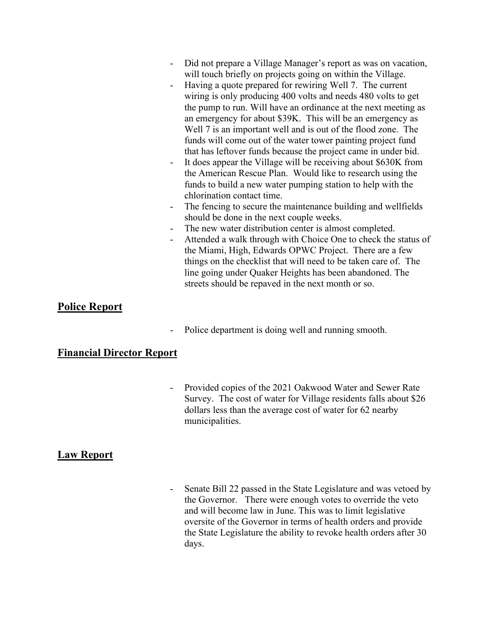- Did not prepare a Village Manager's report as was on vacation, will touch briefly on projects going on within the Village.
- Having a quote prepared for rewiring Well 7. The current wiring is only producing 400 volts and needs 480 volts to get the pump to run. Will have an ordinance at the next meeting as an emergency for about \$39K. This will be an emergency as Well 7 is an important well and is out of the flood zone. The funds will come out of the water tower painting project fund that has leftover funds because the project came in under bid.
- It does appear the Village will be receiving about \$630K from the American Rescue Plan. Would like to research using the funds to build a new water pumping station to help with the chlorination contact time.
- The fencing to secure the maintenance building and wellfields should be done in the next couple weeks.
- The new water distribution center is almost completed.
- Attended a walk through with Choice One to check the status of the Miami, High, Edwards OPWC Project. There are a few things on the checklist that will need to be taken care of. The line going under Quaker Heights has been abandoned. The streets should be repaved in the next month or so.

## **Police Report**

Police department is doing well and running smooth.

## **Financial Director Report**

Provided copies of the 2021 Oakwood Water and Sewer Rate Survey. The cost of water for Village residents falls about \$26 dollars less than the average cost of water for 62 nearby municipalities.

## **Law Report**

- Senate Bill 22 passed in the State Legislature and was vetoed by the Governor. There were enough votes to override the veto and will become law in June. This was to limit legislative oversite of the Governor in terms of health orders and provide the State Legislature the ability to revoke health orders after 30 days.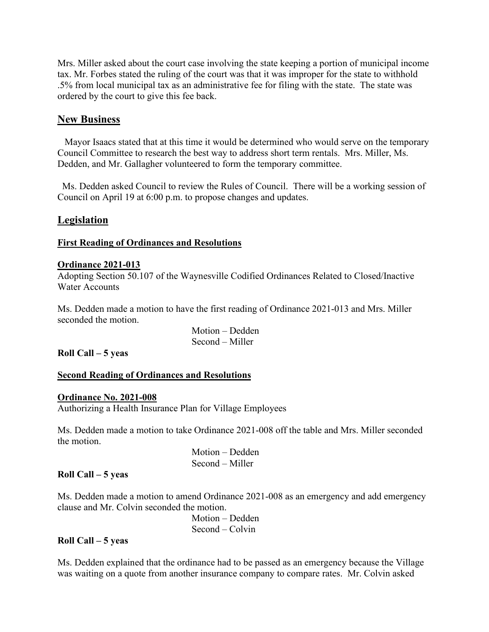Mrs. Miller asked about the court case involving the state keeping a portion of municipal income tax. Mr. Forbes stated the ruling of the court was that it was improper for the state to withhold .5% from local municipal tax as an administrative fee for filing with the state. The state was ordered by the court to give this fee back.

## **New Business**

 Mayor Isaacs stated that at this time it would be determined who would serve on the temporary Council Committee to research the best way to address short term rentals. Mrs. Miller, Ms. Dedden, and Mr. Gallagher volunteered to form the temporary committee.

 Ms. Dedden asked Council to review the Rules of Council. There will be a working session of Council on April 19 at 6:00 p.m. to propose changes and updates.

## **Legislation**

#### **First Reading of Ordinances and Resolutions**

#### **Ordinance 2021-013**

Adopting Section 50.107 of the Waynesville Codified Ordinances Related to Closed/Inactive Water Accounts

Ms. Dedden made a motion to have the first reading of Ordinance 2021-013 and Mrs. Miller seconded the motion.

| Motion – Dedden |  |
|-----------------|--|
| Second – Miller |  |

#### **Roll Call – 5 yeas**

#### **Second Reading of Ordinances and Resolutions**

#### **Ordinance No. 2021-008**

Authorizing a Health Insurance Plan for Village Employees

Ms. Dedden made a motion to take Ordinance 2021-008 off the table and Mrs. Miller seconded the motion.

| Motion – Dedden |  |
|-----------------|--|
| Second – Miller |  |

#### **Roll Call – 5 yeas**

Ms. Dedden made a motion to amend Ordinance 2021-008 as an emergency and add emergency clause and Mr. Colvin seconded the motion.

 Motion – Dedden Second – Colvin

## **Roll Call – 5 yeas**

Ms. Dedden explained that the ordinance had to be passed as an emergency because the Village was waiting on a quote from another insurance company to compare rates. Mr. Colvin asked